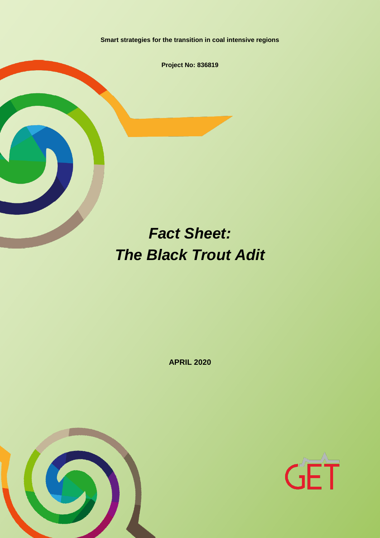**Smart strategies for the transition in coal intensive regions**

**Project No: 836819**

# *Fact Sheet: The Black Trout Adit*

**APRIL 2020**



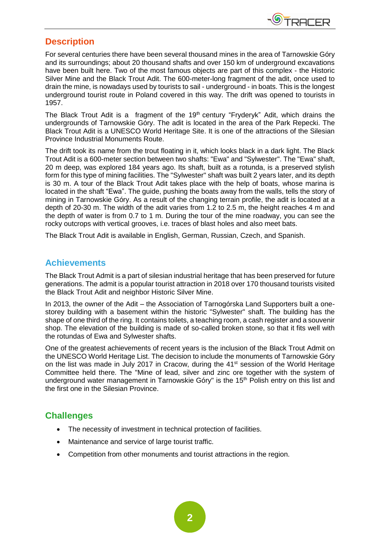

# **Description**

For several centuries there have been several thousand mines in the area of Tarnowskie Góry and its surroundings; about 20 thousand shafts and over 150 km of underground excavations have been built here. Two of the most famous objects are part of this complex - the Historic Silver Mine and the Black Trout Adit. The 600-meter-long fragment of the adit, once used to drain the mine, is nowadays used by tourists to sail - underground - in boats. This is the longest underground tourist route in Poland covered in this way. The drift was opened to tourists in 1957.

The Black Trout Adit is a fragment of the 19<sup>th</sup> century "Fryderyk" Adit, which drains the undergrounds of Tarnowskie Góry. The adit is located in the area of the Park Repecki. The Black Trout Adit is a UNESCO World Heritage Site. It is one of the attractions of the Silesian Province Industrial Monuments Route.

The drift took its name from the trout floating in it, which looks black in a dark light. The Black Trout Adit is a 600-meter section between two shafts: "Ewa" and "Sylwester". The "Ewa" shaft, 20 m deep, was explored 184 years ago. Its shaft, built as a rotunda, is a preserved stylish form for this type of mining facilities. The "Sylwester" shaft was built 2 years later, and its depth is 30 m. A tour of the Black Trout Adit takes place with the help of boats, whose marina is located in the shaft "Ewa". The guide, pushing the boats away from the walls, tells the story of mining in Tarnowskie Góry. As a result of the changing terrain profile, the adit is located at a depth of 20-30 m. The width of the adit varies from 1.2 to 2.5 m, the height reaches 4 m and the depth of water is from 0.7 to 1 m. During the tour of the mine roadway, you can see the rocky outcrops with vertical grooves, i.e. traces of blast holes and also meet bats.

The Black Trout Adit is available in English, German, Russian, Czech, and Spanish.

## **Achievements**

The Black Trout Admit is a part of silesian industrial heritage that has been preserved for future generations. The admit is a popular tourist attraction in 2018 over 170 thousand tourists visited the Black Trout Adit and neighbor Historic Silver Mine.

In 2013, the owner of the Adit – the Association of Tarnogórska Land Supporters built a onestorey building with a basement within the historic "Sylwester" shaft. The building has the shape of one third of the ring. It contains toilets, a teaching room, a cash register and a souvenir shop. The elevation of the building is made of so-called broken stone, so that it fits well with the rotundas of Ewa and Sylwester shafts.

One of the greatest achievements of recent years is the inclusion of the Black Trout Admit on the UNESCO World Heritage List. The decision to include the monuments of Tarnowskie Góry on the list was made in July 2017 in Cracow, during the 41<sup>st</sup> session of the World Heritage Committee held there. The "Mine of lead, silver and zinc ore together with the system of underground water management in Tarnowskie Góry" is the 15<sup>th</sup> Polish entry on this list and the first one in the Silesian Province.

# **Challenges**

- The necessity of investment in technical protection of facilities.
- Maintenance and service of large tourist traffic.
- Competition from other monuments and tourist attractions in the region.

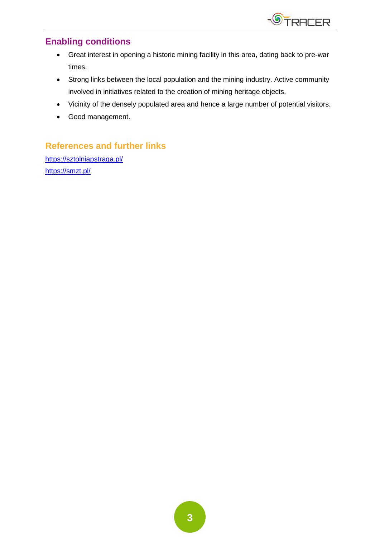

# **Enabling conditions**

- Great interest in opening a historic mining facility in this area, dating back to pre-war times.
- Strong links between the local population and the mining industry. Active community involved in initiatives related to the creation of mining heritage objects.
- Vicinity of the densely populated area and hence a large number of potential visitors.
- Good management.

# **References and further links**

<https://sztolniapstraga.pl/> <https://smzt.pl/>